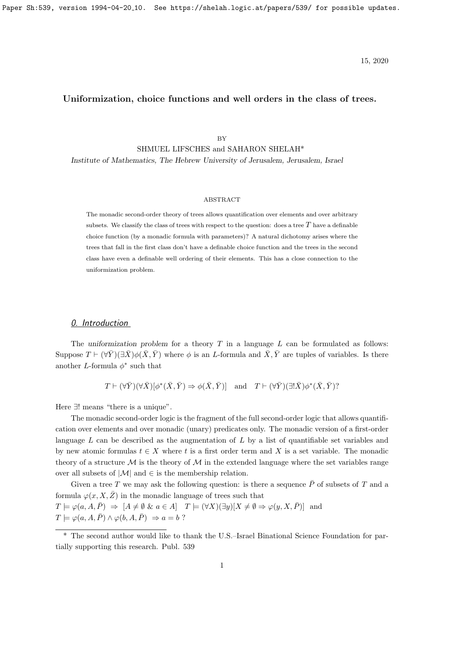Paper Sh:539, version 1994-04-20<sub>-10</sub>. See https://shelah.logic.at/papers/539/ for possible updates.

15, 2020

# Uniformization, choice functions and well orders in the class of trees.

BY

SHMUEL LIFSCHES and SAHARON SHELAH\* Institute of Mathematics, The Hebrew University of Jerusalem, Jerusalem, Israel

### ABSTRACT

The monadic second-order theory of trees allows quantification over elements and over arbitrary subsets. We classify the class of trees with respect to the question: does a tree  $T$  have a definable choice function (by a monadic formula with parameters)? A natural dichotomy arises where the trees that fall in the first class don't have a definable choice function and the trees in the second class have even a definable well ordering of their elements. This has a close connection to the uniformization problem.

### 0. Introduction

The uniformization problem for a theory  $T$  in a language  $L$  can be formulated as follows: Suppose  $T \vdash (\forall \bar{Y})(\exists \bar{X})\phi(\bar{X}, \bar{Y})$  where  $\phi$  is an L-formula and  $\bar{X}, \bar{Y}$  are tuples of variables. Is there another L-formula  $\phi^*$  such that

 $T \vdash (\forall \bar{Y}) (\forall \bar{X}) [\phi^*(\bar{X}, \bar{Y}) \Rightarrow \phi(\bar{X}, \bar{Y})]$  and  $T \vdash (\forall \bar{Y}) (\exists! \bar{X}) \phi^*(\bar{X}, \bar{Y})$ ?

Here ∃! means "there is a unique".

The monadic second-order logic is the fragment of the full second-order logic that allows quantification over elements and over monadic (unary) predicates only. The monadic version of a first-order language  $L$  can be described as the augmentation of  $L$  by a list of quantifiable set variables and by new atomic formulas  $t \in X$  where t is a first order term and X is a set variable. The monadic theory of a structure  $\mathcal M$  is the theory of  $\mathcal M$  in the extended language where the set variables range over all subsets of  $|\mathcal{M}|$  and  $\in$  is the membership relation.

Given a tree T we may ask the following question: is there a sequence  $\bar{P}$  of subsets of T and a formula  $\varphi(x, X, \bar{Z})$  in the monadic language of trees such that

 $T \models \varphi(a, A, \overline{P}) \Rightarrow [A \neq \emptyset \& a \in A]$   $T \models (\forall X)(\exists y)[X \neq \emptyset \Rightarrow \varphi(y, X, \overline{P})]$  and  $T \models \varphi(a, A, \overline{P}) \land \varphi(b, A, \overline{P}) \Rightarrow a = b$ ?

<sup>\*</sup> The second author would like to thank the U.S.–Israel Binational Science Foundation for partially supporting this research. Publ. 539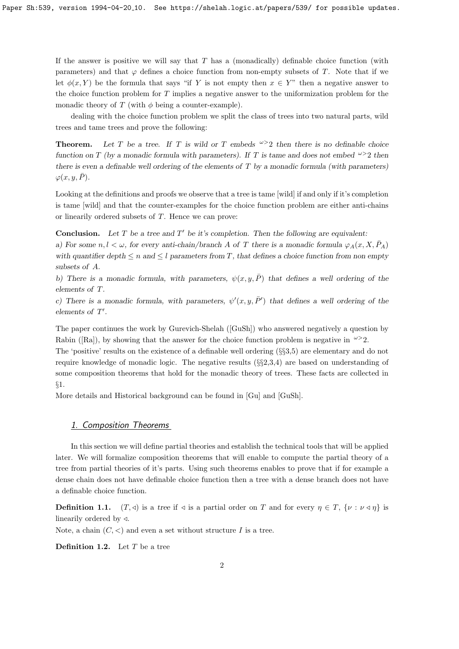If the answer is positive we will say that  $T$  has a (monadically) definable choice function (with parameters) and that  $\varphi$  defines a choice function from non-empty subsets of T. Note that if we let  $\phi(x, Y)$  be the formula that says "if Y is not empty then  $x \in Y$ " then a negative answer to the choice function problem for T implies a negative answer to the uniformization problem for the monadic theory of T (with  $\phi$  being a counter-example).

dealing with the choice function problem we split the class of trees into two natural parts, wild trees and tame trees and prove the following:

**Theorem.** Let T be a tree. If T is wild or T embeds  $\omega > 2$  then there is no definable choice function on T (by a monadic formula with parameters). If T is tame and does not embed  $\omega > 2$  then there is even a definable well ordering of the elements of  $T$  by a monadic formula (with parameters)  $\varphi(x, y, \bar{P}).$ 

Looking at the definitions and proofs we observe that a tree is tame [wild] if and only if it's completion is tame [wild] and that the counter-examples for the choice function problem are either anti-chains or linearily ordered subsets of T. Hence we can prove:

**Conclusion.** Let T be a tree and  $T'$  be it's completion. Then the following are equivalent:

a) For some  $n, l < \omega$ , for every anti-chain/branch A of T there is a monadic formula  $\varphi_A(x, X, \bar{P}_A)$ with quantifier depth  $\leq n$  and  $\leq l$  parameters from T, that defines a choice function from non empty subsets of A.

b) There is a monadic formula, with parameters,  $\psi(x, y, \overline{P})$  that defines a well ordering of the elements of T.

c) There is a monadic formula, with parameters,  $\psi'(x, y, \bar{P}')$  that defines a well ordering of the elements of  $T'$ .

The paper continues the work by Gurevich-Shelah ([GuSh]) who answered negatively a question by Rabin ([Ra]), by showing that the answer for the choice function problem is negative in  $\omega > 2$ .

The 'positive' results on the existence of a definable well ordering (§§3,5) are elementary and do not require knowledge of monadic logic. The negative results  $(\S_{\mathcal{E}}(3,3,4))$  are based on understanding of some composition theorems that hold for the monadic theory of trees. These facts are collected in §1.

More details and Historical background can be found in [Gu] and [GuSh].

# 1. Composition Theorems

In this section we will define partial theories and establish the technical tools that will be applied later. We will formalize composition theorems that will enable to compute the partial theory of a tree from partial theories of it's parts. Using such theorems enables to prove that if for example a dense chain does not have definable choice function then a tree with a dense branch does not have a definable choice function.

**Definition 1.1.**  $(T, \triangleleft)$  is a tree if  $\triangleleft$  is a partial order on T and for every  $\eta \in T$ ,  $\{\nu : \nu \triangleleft \eta\}$  is linearily ordered by  $\triangleleft$ .

Note, a chain  $(C, <)$  and even a set without structure I is a tree.

**Definition 1.2.** Let  $T$  be a tree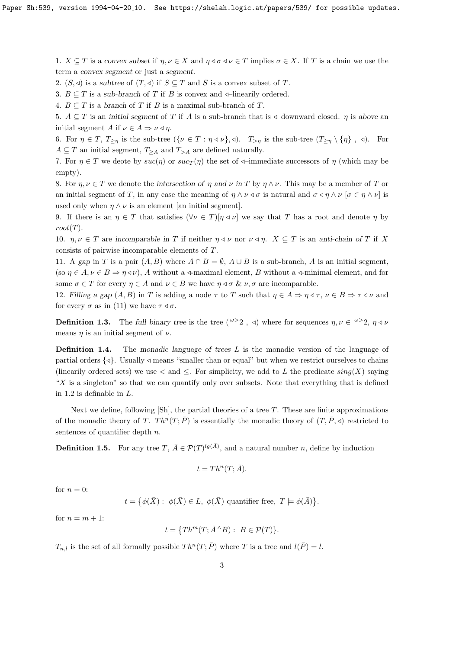1.  $X \subseteq T$  is a convex subset if  $\eta, \nu \in X$  and  $\eta \triangleleft \sigma \triangleleft \nu \in T$  implies  $\sigma \in X$ . If T is a chain we use the term a convex segment or just a segment.

2.  $(S, \triangleleft)$  is a subtree of  $(T, \triangleleft)$  if  $S \subseteq T$  and S is a convex subset of T.

3.  $B \subseteq T$  is a sub-branch of T if B is convex and  $\triangleleft$ -linearily ordered.

4.  $B \subseteq T$  is a branch of T if B is a maximal sub-branch of T.

5.  $A \subseteq T$  is an initial segment of T if A is a sub-branch that is  $\triangleleft$ -downward closed. *n* is above an initial segment A if  $\nu \in A \Rightarrow \nu \triangleleft \eta$ .

6. For  $\eta \in T$ ,  $T_{\geq \eta}$  is the sub-tree  $({\{\nu \in T : \eta \triangleleft \nu\}, \triangleleft})$ .  $T_{\geq \eta}$  is the sub-tree  $(T_{\geq \eta} \setminus {\{\eta\}}]$ ,  $\triangleleft)$ . For  $A \subseteq T$  an initial segment,  $T_{\geq A}$  and  $T_{\geq A}$  are defined naturally.

7. For  $\eta \in T$  we deote by  $suc(\eta)$  or  $suc_T(\eta)$  the set of  $\phi$ –immediate successors of  $\eta$  (which may be empty).

8. For  $\eta, \nu \in T$  we denote the intersection of  $\eta$  and  $\nu$  in T by  $\eta \wedge \nu$ . This may be a member of T or an initial segment of T, in any case the meaning of  $\eta \wedge \nu \triangleleft \sigma$  is natural and  $\sigma \triangleleft \eta \wedge \nu$  [ $\sigma \in \eta \wedge \nu$ ] is used only when  $\eta \wedge \nu$  is an element [an initial segment].

9. If there is an  $\eta \in T$  that satisfies  $(\forall \nu \in T)[\eta \triangleleft \nu]$  we say that T has a root and denote  $\eta$  by  $root(T)$ .

10.  $\eta, \nu \in T$  are incomparable in T if neither  $\eta \triangleleft \nu$  nor  $\nu \triangleleft \eta$ .  $X \subseteq T$  is an anti-chain of T if X consists of pairwise incomparable elements of T.

11. A gap in T is a pair  $(A, B)$  where  $A \cap B = \emptyset$ ,  $A \cup B$  is a sub-branch, A is an initial segment, (so  $\eta \in A, \nu \in B \Rightarrow \eta \triangleleft \nu$ ), A without a  $\triangleleft$ -maximal element, B without a  $\triangleleft$ -minimal element, and for some  $\sigma \in T$  for every  $\eta \in A$  and  $\nu \in B$  we have  $\eta \triangleleft \sigma \& \nu, \sigma$  are incomparable.

12. Filling a gap  $(A, B)$  in T is adding a node  $\tau$  to T such that  $\eta \in A \Rightarrow \eta \triangleleft \tau$ ,  $\nu \in B \Rightarrow \tau \triangleleft \nu$  and for every  $\sigma$  as in (11) we have  $\tau \triangleleft \sigma$ .

**Definition 1.3.** The full binary tree is the tree  $({}^{\omega>2}, 0)$  where for sequences  $\eta, \nu \in {}^{\omega>2}, \eta \triangleleft \nu$ means  $\eta$  is an initial segment of  $\nu$ .

**Definition 1.4.** The monadic language of trees  $L$  is the monadic version of the language of partial orders  $\{\triangleleft\}$ . Usually  $\triangleleft$  means "smaller than or equal" but when we restrict ourselves to chains (linearily ordered sets) we use  $\lt$  and  $\leq$ . For simplicity, we add to L the predicate  $sing(X)$  saying " $X$  is a singleton" so that we can quantify only over subsets. Note that everything that is defined in 1.2 is definable in L.

Next we define, following  $[\text{Sh}]$ , the partial theories of a tree T. These are finite approximations of the monadic theory of T. Th<sup>n</sup>(T;  $\bar{P}$ ) is essentially the monadic theory of  $(T, \bar{P}, \triangleleft)$  restricted to sentences of quantifier depth  $n$ .

**Definition 1.5.** For any tree T,  $\bar{A} \in \mathcal{P}(T)^{lg(\bar{A})}$ , and a natural number n, define by induction

$$
t = Th^{n}(T; \bar{A}).
$$

for  $n = 0$ :

 $t = \{ \phi(\bar{X}) : \phi(\bar{X}) \in L, \phi(\bar{X}) \text{ quantifier free}, T \models \phi(\bar{A}) \}.$ 

for  $n = m + 1$ :

$$
t = \{Th^m(T; \bar{A}^{\wedge}B): B \in \mathcal{P}(T)\}.
$$

 $T_{n,l}$  is the set of all formally possible  $Th^n(T; \overline{P})$  where T is a tree and  $l(\overline{P}) = l$ .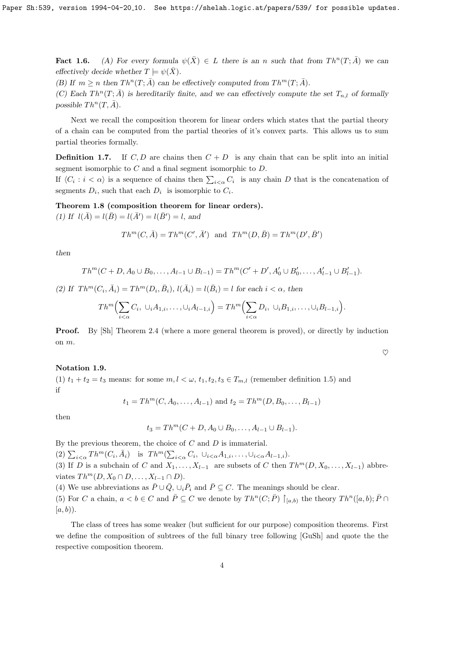**Fact 1.6.** (A) For every formula  $\psi(\bar{X}) \in L$  there is an n such that from  $Th^n(T; \bar{A})$  we can effectively decide whether  $T \models \psi(\bar{X})$ .

(B) If  $m \ge n$  then  $Th^n(T; \overline{A})$  can be effectively computed from  $Th^m(T; \overline{A})$ .

(C) Each  $Th^n(T; \overline{A})$  is hereditarily finite, and we can effectively compute the set  $T_{n,l}$  of formally possible  $Th^n(T, \overline{A})$ .

Next we recall the composition theorem for linear orders which states that the partial theory of a chain can be computed from the partial theories of it's convex parts. This allows us to sum partial theories formally.

**Definition 1.7.** If C, D are chains then  $C + D$  is any chain that can be split into an initial segment isomorphic to C and a final segment isomorphic to D.

If  $\langle C_i : i < \alpha \rangle$  is a sequence of chains then  $\sum_{i < \alpha} C_i$  is any chain D that is the concatenation of segments  $D_i$ , such that each  $D_i$  is isomorphic to  $C_i$ .

Theorem 1.8 (composition theorem for linear orders).

(1) If  $l(\bar{A}) = l(\bar{B}) = l(\bar{A}') = l(\bar{B}') = l$ , and

$$
Th^m(C, \bar{A}) = Th^m(C', \bar{A}') \text{ and } Th^m(D, \bar{B}) = Th^m(D', \bar{B}')
$$

then

$$
Th^{m}(C+D, A_{0}\cup B_{0},\ldots, A_{l-1}\cup B_{l-1})=Th^{m}(C'+D', A'_{0}\cup B'_{0},\ldots, A'_{l-1}\cup B'_{l-1}).
$$

(2) If  $Th^m(C_i, \bar{A}_i) = Th^m(D_i, \bar{B}_i)$ ,  $l(\bar{A}_i) = l(\bar{B}_i) = l$  for each  $i < \alpha$ , then

$$
Th^m\Big(\sum_{i<\alpha}C_i,\ \cup_i A_{1,i},\ldots,\cup_i A_{l-1,i}\Big)=Th^m\Big(\sum_{i<\alpha}D_i,\ \cup_i B_{1,i},\ldots,\cup_i B_{l-1,i}\Big).
$$

**Proof.** By [Sh] Theorem 2.4 (where a more general theorem is proved), or directly by induction on m.

 $\heartsuit$ 

#### Notation 1.9.

(1)  $t_1 + t_2 = t_3$  means: for some  $m, l < \omega, t_1, t_2, t_3 \in T_{m,l}$  (remember definition 1.5) and if

$$
t_1 = Th^m(C, A_0, \ldots, A_{l-1})
$$
 and  $t_2 = Th^m(D, B_0, \ldots, B_{l-1})$ 

then

$$
t_3 = Th^m(C + D, A_0 \cup B_0, \dots, A_{l-1} \cup B_{l-1}).
$$

By the previous theorem, the choice of  $C$  and  $D$  is immaterial.

(2)  $\sum_{i<\alpha} Th^m(C_i, \bar{A}_i)$  is  $Th^m(\sum_{i<\alpha} C_i, \cup_{i<\alpha} A_{1,i}, \dots, \cup_{i<\alpha} A_{l-1,i}).$ 

(3) If D is a subchain of C and  $X_1, \ldots, X_{l-1}$  are subsets of C then  $Th^m(D, X_0, \ldots, X_{l-1})$  abbreviates  $Th^m(D, X_0 \cap D, \ldots, X_{l-1} \cap D)$ .

(4) We use abbreviations as  $\bar{P} \cup \bar{Q}$ ,  $\cup_i \bar{P}_i$  and  $\bar{P} \subseteq C$ . The meanings should be clear.

(5) For C a chain,  $a < b \in C$  and  $\overline{P} \subseteq C$  we denote by  $Th^n(C; \overline{P}) \restriction_{[a,b)}$  the theory  $Th^n([a, b); \overline{P} \cap D)$  $[a, b)$ .

The class of trees has some weaker (but sufficient for our purpose) composition theorems. First we define the composition of subtrees of the full binary tree following [GuSh] and quote the the respective composition theorem.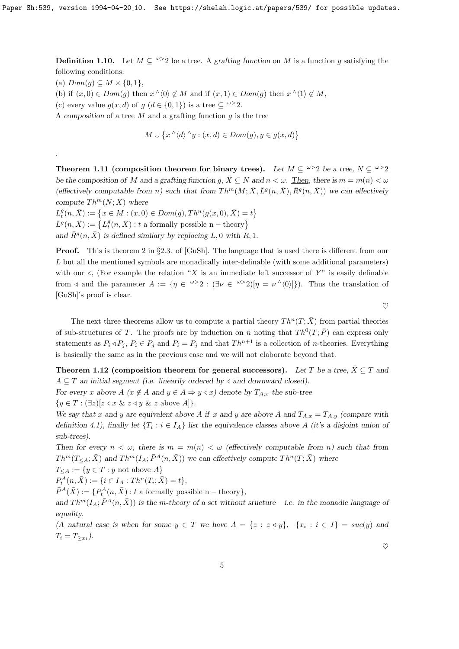**Definition 1.10.** Let  $M \subseteq \{0, 2\}$  be a tree. A grafting function on M is a function g satisfying the following conditions:

(a)  $Dom(g) \subseteq M \times \{0,1\},\$ 

.

- (b) if  $(x, 0) \in Dom(g)$  then  $x \wedge (0) \notin M$  and if  $(x, 1) \in Dom(g)$  then  $x \wedge (1) \notin M$ ,
- (c) every value  $g(x, d)$  of  $g(d \in \{0, 1\})$  is a tree  $\subseteq \omega > 2$ .

A composition of a tree  $M$  and a grafting function  $g$  is the tree

$$
M \cup \{x \land \langle d \rangle \land y : (x, d) \in Dom(g), y \in g(x, d)\}
$$

Theorem 1.11 (composition theorem for binary trees). Let  $M \subseteq \omega > 2$  be a tree,  $N \subseteq \omega > 2$ be the composition of M and a grafting function g,  $\bar{X} \subseteq N$  and  $n < \omega$ . Then, there is  $m = m(n) < \omega$ (effectively computable from n) such that from  $Th^m(M; \bar{X}, L^g(n, \bar{X}), \bar{R}^g(n, \bar{X}))$  we can effectively compute  $Th^m(N; \overline{X})$  where

 $L_t^g(n, \bar{X}) := \{x \in M : (x, 0) \in Dom(g), Th^n(g(x, 0), \bar{X}) = t\}$  $\bar{L}^{g}(n,\bar{X}):=\left\{ L_{t}^{g}(n,\bar{X}):t\text{ a formally possible }n-\text{theory}\right\}$ and  $\bar{R}^g(n, \bar{X})$  is defined similary by replacing L, 0 with R, 1.

Proof. This is theorem 2 in §2.3. of [GuSh]. The language that is used there is different from our L but all the mentioned symbols are monadically inter-definable (with some additional parameters) with our  $\triangleleft$ , (For example the relation "X is an immediate left successor of Y" is easily definable from  $\triangleleft$  and the parameter  $A := \{ \eta \in \mathbb{R}^3 : (\exists \nu \in \mathbb{R}^3 \geq 2) | \eta = \nu^{\wedge} \langle 0 \rangle | \}$ . Thus the translation of [GuSh]'s proof is clear.

 $\heartsuit$ 

The next three theorems allow us to compute a partial theory  $Th^n(T; \overline{X})$  from partial theories of sub-structures of T. The proofs are by induction on n noting that  $Th^0(T; \overline{P})$  can express only statements as  $P_i \triangleleft P_j$ ,  $P_i \in P_j$  and  $P_i = P_j$  and that  $Th^{n+1}$  is a collection of *n*-theories. Everything is basically the same as in the previous case and we will not elaborate beyond that.

Theorem 1.12 (composition theorem for general successors). Let T be a tree,  $\bar{X} \subseteq T$  and  $A \subseteq T$  an initial segment (i.e. linearily ordered by  $\triangleleft$  and downward closed).

For every x above A ( $x \notin A$  and  $y \in A \Rightarrow y \triangleleft x$ ) denote by  $T_{A,x}$  the sub-tree  ${y \in T : (\exists z)[z \triangleleft x \& z \triangleleft y \& z \text{ above } A]}.$ 

We say that x and y are equivalent above A if x and y are above A and  $T_{A,x} = T_{A,y}$  (compare with definition 4.1), finally let  $\{T_i : i \in I_A\}$  list the equivalence classes above A (it's a disjoint union of sub-trees).

Then for every  $n < \omega$ , there is  $m = m(n) < \omega$  (effectively computable from n) such that from  $Th^{m}(T_{\leq A};\bar{X})$  and  $Th^{m}(I_{A};\bar{P}^{A}(n,\bar{X}))$  we can effectively compute  $Th^{n}(T;\bar{X})$  where

$$
T_{\leq A} := \{ y \in T : y \text{ not above } A \}
$$

$$
P_t^A(n, \bar{X}) := \{ i \in I_A : Th^n(T_i; \bar{X}) = t \},
$$

 $\bar{P}^A(\bar{X}) := \{P_t^A(n, \bar{X}) : t \text{ a formally possible } n-\text{theory}\},\$ 

and  $Th^{m}(I_{A}; \bar{P}^{A}(n, \bar{X}))$  is the m-theory of a set without sructure – i.e. in the monadic language of equality.

(A natural case is when for some  $y \in T$  we have  $A = \{z : z \triangleleft y\}$ ,  $\{x_i : i \in I\} = \textit{succ}(y)$  and  $T_i = T_{\geq x_i}$ .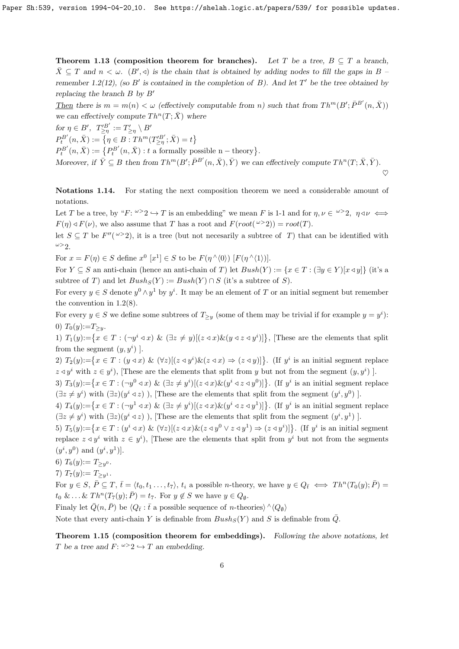Theorem 1.13 (composition theorem for branches). Let T be a tree,  $B \subseteq T$  a branch,  $\bar{X} \subseteq T$  and  $n < \omega$ .  $(B', \triangleleft)$  is the chain that is obtained by adding nodes to fill the gaps in B remember 1.2(12), (so B' is contained in the completion of  $B$ ). And let T' be the tree obtained by replacing the branch  $B$  by  $B'$ 

Then there is  $m = m(n) < \omega$  (effectively computable from n) such that from  $Th^m(B'; \bar{P}^{B'}(n, \bar{X}))$ we can effectively compute  $Th^n(T; \overline{X})$  where

for  $\eta \in B'$ ,  $T'^{B'}_{\geq \eta} := T'_{\geq \eta} \setminus B'$  $P_t^{B'}(n, \bar{X}) := \{ \eta \in B : Th^m(T_{\geq \eta}^{\prime B'}; \bar{X}) = t \}$  $P_t^{B'}(n,\bar{X}) := \{ P_t^{B'}(n,\bar{X}) : t \text{ a formally possible n}-\text{theory} \}.$ Moreover, if  $\bar{Y} \subseteq B$  then from  $Th^m(B'; \bar{P}^{B'}(n, \bar{X}), \bar{Y})$  we can effectively compute  $Th^n(T; \bar{X}, \bar{Y})$ .  $\heartsuit$ 

Notations 1.14. For stating the next composition theorem we need a considerable amount of notations.

Let T be a tree, by " $F: \omega > 2 \hookrightarrow T$  is an embedding" we mean F is 1-1 and for  $\eta, \nu \in \omega > 2$ ,  $\eta \triangleleft \nu \iff$  $F(\eta) \triangleleft F(\nu)$ , we also assume that T has a root and  $F(root(\nu > 2)) = root(T)$ .

let  $S \subseteq T$  be  $F''(\omega > 2)$ , it is a tree (but not necesarily a subtree of T) that can be identified with  $\omega > 2$ .

For  $x = F(\eta) \in S$  define  $x^0$   $[x^1] \in S$  to be  $F(\eta \wedge \langle 0 \rangle)$   $[F(\eta \wedge \langle 1 \rangle)].$ 

For  $Y \subseteq S$  an anti-chain (hence an anti-chain of T) let  $Bush(Y) := \{x \in T : (\exists y \in Y)[x \triangleleft y]\}$  (it's a subtree of T) and let  $Bush_S(Y) := Bush(Y) \cap S$  (it's a subtree of S).

For every  $y \in S$  denote  $y^0 \wedge y^1$  by  $y^i$ . It may be an element of T or an initial segment but remember the convention in 1.2(8).

For every  $y \in S$  we define some subtrees of  $T_{\geq y}$  (some of them may be trivial if for example  $y = y^i$ ): 0)  $T_0(y) := T_{\geq y}$ .

1)  $T_1(y) := \{x \in T : (\neg y^i \triangleleft x) \& (\exists z \neq y) [(\neg z \triangleleft x) \& (\neg z \triangleleft y^i)]\},\$  [These are the elements that split from the segment  $(y, y^i)$ ].

2)  $T_2(y) := \{x \in T : (y \triangleleft x) \& (\forall z)[(z \triangleleft y^i) \& (z \triangleleft x) \Rightarrow (z \triangleleft y)]\}$ . (If  $y^i$  is an initial segment replace  $z \triangleleft y^i$  with  $z \in y^i$ ), [These are the elements that split from y but not from the segment  $(y, y^i)$ ].

3)  $T_3(y) := \{x \in T : (\neg y^0 \triangleleft x) \& (\exists z \neq y^i) [(\overline{z} \triangleleft x) \& (\overline{y}^i \triangleleft z \triangleleft y^0)]\}].$  (If  $y^i$  is an initial segment replace  $(\exists z \neq y^i)$  with  $(\exists z)(y^i \triangleleft z)$ ), These are the elements that split from the segment  $(y^i, y^0)$ .

4)  $T_4(y) := \{x \in T : (\neg y^1 \triangleleft x) \& (\exists z \neq y^i) [(z \triangleleft x) \& (y^i \triangleleft z \triangleleft y^1)]\}$ . (If  $y^i$  is an initial segment replace  $(\exists z \neq y^i)$  with  $(\exists z)(y^i \triangleleft z)$ ), These are the elements that split from the segment  $(y^i, y^1)$ .

5)  $T_5(y) := \{x \in T : (y^i \triangleleft x) \& (\forall z)[(z \triangleleft x) \& (z \triangleleft y^0 \vee z \triangleleft y^1) \Rightarrow (z \triangleleft y^i)]\}$ . (If  $y^i$  is an initial segment replace  $z \triangleleft y^i$  with  $z \in y^i$ ), These are the elements that split from  $y^i$  but not from the segments  $(y^{i}, y^{0})$  and  $(y^{i}, y^{1})$ .

6)  $T_6(y) := T_{\geq y^0}$ .

7) 
$$
T_7(y) := T_{\geq y^1}
$$
.

For  $y \in S$ ,  $\overline{P} \subseteq T$ ,  $\overline{t} = \langle t_0, t_1, \ldots, t_7 \rangle$ ,  $t_i$  a possible *n*-theory, we have  $y \in Q_{\overline{t}} \iff Th^n(T_0(y); \overline{P}) =$  $t_0 \& \dots \& Th^n(T_7(y); \overline{P}) = t_7.$  For  $y \notin S$  we have  $y \in Q_0$ .

Finaly let  $\bar{Q}(n, \bar{P})$  be  $\langle Q_{\bar{t}} : \bar{t}$  a possible sequence of n-theories)  $\land \langle Q_{\emptyset} \rangle$ 

Note that every anti-chain Y is definable from  $Bush_S(Y)$  and S is definable from  $\overline{Q}$ .

Theorem 1.15 (composition theorem for embeddings). Following the above notations, let T be a tree and  $F: \omega > 2 \hookrightarrow T$  an embedding.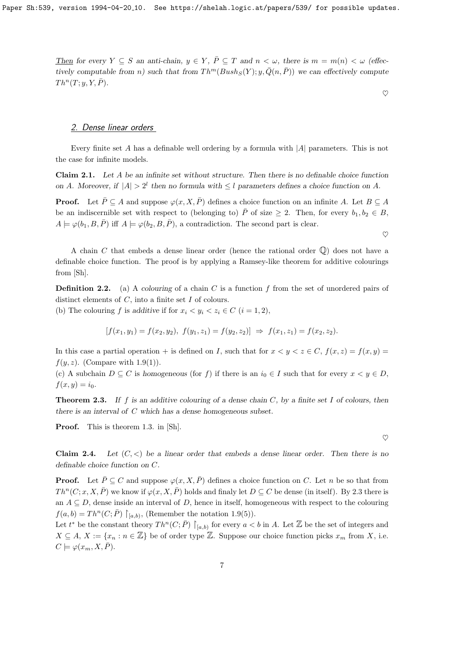Then for every  $Y \subseteq S$  an anti-chain,  $y \in Y$ ,  $\overline{P} \subseteq T$  and  $n < \omega$ , there is  $m = m(n) < \omega$  (effectively computable from n) such that from  $Th^m(Bush_S(Y); y, \overline{Q}(n, \overline{P}))$  we can effectively compute  $Th^n(T; y, Y, \overline{P}).$ 

#### $\heartsuit$

 $\heartsuit$ 

### 2. Dense linear orders

Every finite set A has a definable well ordering by a formula with  $|A|$  parameters. This is not the case for infinite models.

Claim 2.1. Let A be an infinite set without structure. Then there is no definable choice function on A. Moreover, if  $|A| > 2^l$  then no formula with  $\leq l$  parameters defines a choice function on A.

**Proof.** Let  $\overline{P} \subseteq A$  and suppose  $\varphi(x, X, \overline{P})$  defines a choice function on an infinite A. Let  $B \subseteq A$ be an indiscernible set with respect to (belonging to)  $\overline{P}$  of size  $\geq 2$ . Then, for every  $b_1, b_2 \in B$ ,  $A \models \varphi(b_1, B, \overline{P})$  iff  $A \models \varphi(b_2, B, \overline{P})$ , a contradiction. The second part is clear.

A chain C that embeds a dense linear order (hence the rational order  $\mathbb{Q}$ ) does not have a definable choice function. The proof is by applying a Ramsey-like theorem for additive colourings from [Sh].

**Definition 2.2.** (a) A colouring of a chain C is a function f from the set of unordered pairs of distinct elements of  $C$ , into a finite set  $I$  of colours.

(b) The colouring f is additive if for  $x_i < y_i < z_i \in C$   $(i = 1, 2)$ ,

$$
[f(x_1, y_1) = f(x_2, y_2), \ f(y_1, z_1) = f(y_2, z_2)] \Rightarrow f(x_1, z_1) = f(x_2, z_2).
$$

In this case a partial operation + is defined on I, such that for  $x < y < z \in C$ ,  $f(x, z) = f(x, y) =$  $f(y, z)$ . (Compare with 1.9(1)).

(c) A subchain  $D \subseteq C$  is homogeneous (for f) if there is an  $i_0 \in I$  such that for every  $x \leq y \in D$ ,  $f(x, y) = i_0.$ 

**Theorem 2.3.** If f is an additive colouring of a dense chain C, by a finite set I of colours, then there is an interval of C which has a dense homogeneous subset.

Proof. This is theorem 1.3. in [Sh].

**Claim 2.4.** Let  $(C, \leq)$  be a linear order that embeds a dense linear order. Then there is no definable choice function on C.

**Proof.** Let  $\bar{P} \subseteq C$  and suppose  $\varphi(x, X, \bar{P})$  defines a choice function on C. Let n be so that from  $Th^n(C; x, X, \overline{P})$  we know if  $\varphi(x, X, \overline{P})$  holds and finaly let  $D \subseteq C$  be dense (in itself). By 2.3 there is an  $A \subseteq D$ , dense inside an interval of D, hence in itself, homogeneous with respect to the colouring  $f(a, b) = Th<sup>n</sup>(C; \overline{P}) \upharpoonright_{[a, b)},$  (Remember the notation 1.9(5)).

Let  $t^*$  be the constant theory  $Th^n(C; \overline{P}) \restriction_{[a,b)}$  for every  $a < b$  in A. Let  $\mathbb Z$  be the set of integers and  $X \subseteq A, X := \{x_n : n \in \mathbb{Z}\}\$ be of order type  $\mathbb{Z}$ . Suppose our choice function picks  $x_m$  from X, i.e.  $C \models \varphi(x_m, X, \overline{P}).$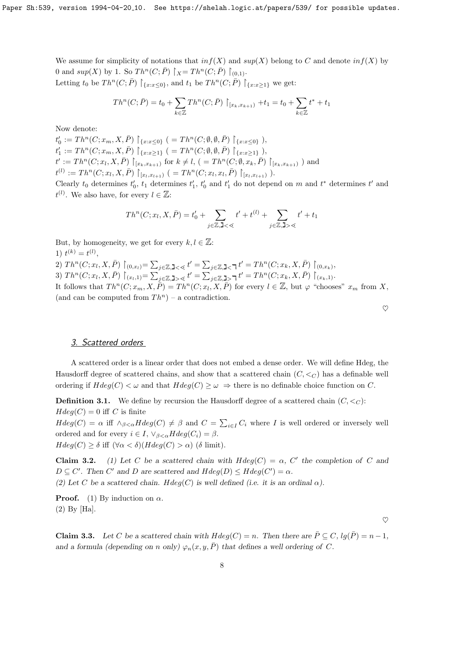We assume for simplicity of notations that  $inf(X)$  and  $sup(X)$  belong to C and denote  $inf(X)$  by 0 and  $sup(X)$  by 1. So  $Th^n(C; \overline{P}) \upharpoonright_{X} = Th^n(C; \overline{P}) \upharpoonright_{(0,1)}$ . Letting  $t_0$  be  $Th^n(C; \overline{P}) \upharpoonright_{\{x:x\leq 0\}}$ , and  $t_1$  be  $Th^n(C; \overline{P}) \upharpoonright_{\{x:x\geq 1\}}$  we get:

$$
Th^{n}(C; \bar{P}) = t_0 + \sum_{k \in \mathbb{Z}} Th^{n}(C; \bar{P}) \upharpoonright_{[x_k, x_{k+1})} + t_1 = t_0 + \sum_{k \in \mathbb{Z}} t^* + t_1
$$

Now denote:

 $t'_0 := Th^n(C; x_m, X, \bar{P}) \upharpoonright_{\{x : x \le 0\}} (= Th^n(C; \emptyset, \emptyset, \bar{P}) \upharpoonright_{\{x : x \le 0\}}),$  $t'_1 := Th^n(C; x_m, X, \overline{P}) \upharpoonright_{\{x: x \geq 1\}}$   $( = Th^n(C; \emptyset, \emptyset, \overline{P}) \upharpoonright_{\{x: x \geq 1\}})$ ,  $t' := Th^n(C; x_l, X, \bar{P}) \rvert_{[x_k, x_{k+1})}$  for  $k \neq l$ ,  $( = Th^n(C; \emptyset, x_k, \bar{P}) \rvert_{[x_k, x_{k+1})})$  and  $t^{(l)} := Th^n(C; x_l, X, \overline{P}) \upharpoonright_{[x_l, x_{l+1})} ( = Th^n(C; x_l, x_l, \overline{P}) \upharpoonright_{[x_l, x_{l+1})}).$ 

Clearly  $t_0$  determines  $t'_0$ ,  $t_1$  determines  $t'_1$ ,  $t'_0$  and  $t'_1$  do not depend on m and  $t^*$  determines  $t'$  and  $t^{(l)}$ . We also have, for every  $l \in \mathbb{Z}$ :

$$
Th^{n}(C; x_{l}, X, \bar{P}) = t'_{0} + \sum_{j \in \mathbb{Z}, J < \mathbb{Q}} t' + t^{(l)} + \sum_{j \in \mathbb{Z}, J > \mathbb{Q}} t' + t_{1}
$$

But, by homogeneity, we get for every  $k, l \in \mathbb{Z}$ :

1)  $t^{(k)} = t^{(l)}$ , 2)  $Th^n(C; x_l, X, \bar{P}) \mid_{(0,x_l)} = \sum_{j \in \mathbb{Z}, 1 \leq \leq t'} t' = \sum_{j \in \mathbb{Z}, 1 \leq \tau} t' = Th^n(C; x_k, X, \bar{P}) \mid_{(0,x_k)},$ 3)  $Th^n(C; x_l, X, \bar{P}) \mid_{(x_l,1)} = \sum_{j \in \mathbb{Z}, 1} \sum_{s \leq t} t' = \sum_{j \in \mathbb{Z}, 1} \sum_{s \in \mathbb{Z}} t' = Th^n(C; x_k, X, \bar{P}) \mid_{(x_k,1)}$ It follows that  $Th^n(C; x_m, X, \overline{P}) = Th^n(C; x_l, X, \overline{P})$  for every  $l \in \mathbb{Z}$ , but  $\varphi$  "chooses"  $x_m$  from X, (and can be computed from  $Th^n$ ) – a contradiction.

| ۰<br>٠      |
|-------------|
| ٦<br>ë<br>ë |
|             |

# 3. Scattered orders

A scattered order is a linear order that does not embed a dense order. We will define Hdeg, the Hausdorff degree of scattered chains, and show that a scattered chain  $(C, \langle C \rangle)$  has a definable well ordering if  $Hdeg(C) < \omega$  and that  $Hdeg(C) \geq \omega \Rightarrow$  there is no definable choice function on C.

**Definition 3.1.** We define by recursion the Hausdorff degree of a scattered chain  $(C, \leq_C)$ :  $Hdeg(C) = 0$  iff C is finite

 $Hdeg(C) = \alpha$  iff  $\wedge_{\beta < \alpha} Hdeg(C) \neq \beta$  and  $C = \sum_{i \in I} C_i$  where I is well ordered or inversely well ordered and for every  $i \in I$ ,  $\vee_{\beta < \alpha} H deg(C_i) = \beta$ .  $Hdeg(C) \geq \delta$  iff  $(\forall \alpha < \delta)(Hdeg(C) > \alpha)$  ( $\delta$  limit).

**Claim 3.2.** (1) Let C be a scattered chain with  $Hdeg(C) = \alpha$ , C' the completion of C and  $D \subseteq C'$ . Then C' and D are scattered and  $Hdeg(D) \leq Hdeg(C') = \alpha$ .

(2) Let C be a scattered chain. Hdeg(C) is well defined (i.e. it is an ordinal  $\alpha$ ).

**Proof.** (1) By induction on  $\alpha$ . (2) By [Ha].

 $\heartsuit$ 

**Claim 3.3.** Let C be a scattered chain with  $Hdeg(C) = n$ . Then there are  $\overline{P} \subseteq C$ ,  $lg(\overline{P}) = n - 1$ , and a formula (depending on n only)  $\varphi_n(x, y, \overline{P})$  that defines a well ordering of C.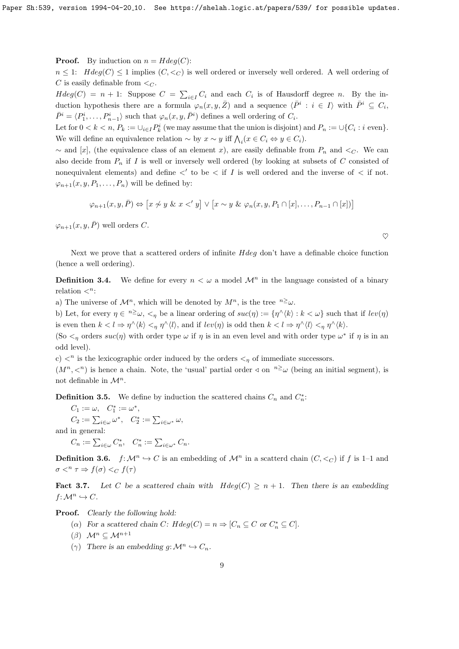**Proof.** By induction on  $n = Hdeg(C)$ :

 $n \leq 1$ :  $Hdeg(C) \leq 1$  implies  $(C, \leq_C)$  is well ordered or inversely well ordered. A well ordering of C is easily definable from  $\leq_C$ .

 $Hdeg(C) = n + 1$ : Suppose  $C = \sum_{i \in I} C_i$  and each  $C_i$  is of Hausdorff degree n. By the induction hypothesis there are a formula  $\varphi_n(x, y, \bar{Z})$  and a sequence  $\langle \bar{P}^i : i \in I \rangle$  with  $\bar{P}^i \subseteq C_i$ ,  $\bar{P}^i = \langle P_1^i, \ldots, P_{n-1}^i \rangle$  such that  $\varphi_n(x, y, \bar{P}^i)$  defines a well ordering of  $C_i$ .

Let for  $0 < k < n$ ,  $P_k := \bigcup_{i \in I} P_k^i$  (we may assume that the union is disjoint) and  $P_n := \bigcup \{C_i : i \text{ even}\}.$ We will define an equivalence relation  $\sim$  by  $x \sim y$  iff  $\bigwedge_i (x \in C_i \Leftrightarrow y \in C_i)$ .

 $\sim$  and [x], (the equivalence class of an element x), are easily definable from  $P_n$  and  $\lt_C$ . We can also decide from  $P_n$  if I is well or inversely well ordered (by looking at subsets of C consisted of nonequivalent elements) and define  $\langle$  to be  $\langle$  if I is well ordered and the inverse of  $\langle$  if not.  $\varphi_{n+1}(x, y, P_1, \ldots, P_n)$  will be defined by:

$$
\varphi_{n+1}(x, y, \overline{P}) \Leftrightarrow [x \not\sim y \& x \prec' y] \lor [x \sim y \& \varphi_n(x, y, P_1 \cap [x], \dots, P_{n-1} \cap [x])]
$$

 $\varphi_{n+1}(x, y, \bar{P})$  well orders C.

Next we prove that a scattered orders of infinite *Hdeg* don't have a definable choice function (hence a well ordering).

**Definition 3.4.** We define for every  $n < \omega$  a model  $\mathcal{M}^n$  in the language consisted of a binary relation  $\lt^n$ :

a) The universe of  $\mathcal{M}^n$ , which will be denoted by  $M^n$ , is the tree  $n \geq \omega$ .

b) Let, for every  $\eta \in \infty$ ,  $\langle \eta \rangle$  be a linear ordering of  $suc(\eta) := {\eta \setminus \langle k \rangle : k \langle \omega \rangle}$  such that if  $lev(\eta)$ is even then  $k < l \Rightarrow \eta^{\wedge}\langle k \rangle <_{\eta} \eta^{\wedge}\langle l \rangle$ , and if  $lev(\eta)$  is odd then  $k < l \Rightarrow \eta^{\wedge}\langle l \rangle <_{\eta} \eta^{\wedge}\langle k \rangle$ .

(So  $\lt_{\eta}$  orders  $suc(\eta)$  with order type  $\omega$  if  $\eta$  is in an even level and with order type  $\omega^*$  if  $\eta$  is in an odd level).

c)  $\langle \cdot \rangle$  is the lexicographic order induced by the orders  $\langle \cdot \rangle$  of immediate successors.  $(M^n, \langle n \rangle)$  is hence a chain. Note, the 'usual' partial order  $\triangleleft$  on  $n \geq \omega$  (being an initial segment), is not definable in  $\mathcal{M}^n$ .

**Definition 3.5.** We define by induction the scattered chains  $C_n$  and  $C_n^*$ :

 $C_1 := \omega, \quad C_1^* := \omega^*,$  $C_2 := \sum_{i \in \omega} \omega^*, \quad C_2^* := \sum_{i \in \omega^*} \omega,$ and in general:  $C_n := \sum_{i \in \omega} C_n^*, \quad C_n^* := \sum_{i \in \omega^*} C_n.$ 

**Definition 3.6.**  $f: \mathcal{M}^n \hookrightarrow C$  is an embedding of  $\mathcal{M}^n$  in a scatterd chain  $(C, \lt_C)$  if f is 1–1 and  $\sigma <^n \tau \Rightarrow f(\sigma) <^c \tau(\tau)$ 

**Fact 3.7.** Let C be a scattered chain with  $Hdeg(C) \geq n+1$ . Then there is an embedding  $f: \mathcal{M}^n \hookrightarrow C.$ 

Proof. Clearly the following hold:

- (a) For a scattered chain C:  $Hdeg(C) = n \Rightarrow [C_n \subseteq C \text{ or } C_n^* \subseteq C].$
- $(\beta)$   $\mathcal{M}^n \subseteq \mathcal{M}^{n+1}$
- ( $\gamma$ ) There is an embedding g:  $\mathcal{M}^n \hookrightarrow C_n$ .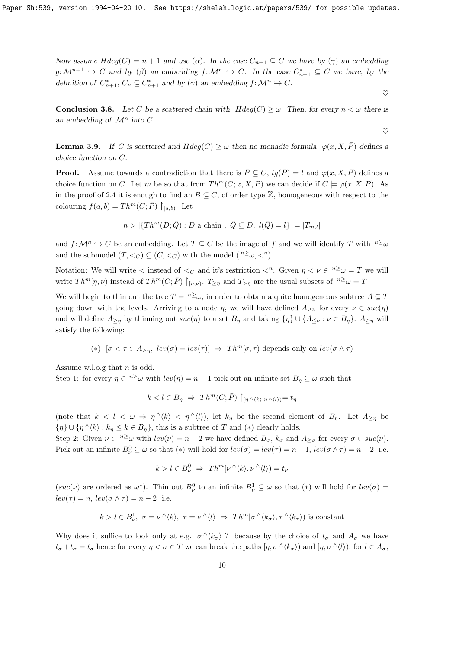Now assume  $Hdeg(C) = n + 1$  and use ( $\alpha$ ). In the case  $C_{n+1} \subseteq C$  we have by ( $\gamma$ ) an embedding  $g: \mathcal{M}^{n+1} \hookrightarrow C$  and by  $(\beta)$  an embedding  $f: \mathcal{M}^n \hookrightarrow C$ . In the case  $C_{n+1}^* \subseteq C$  we have, by the definition of  $C_{n+1}^*$ ,  $C_n \subseteq C_{n+1}^*$  and by  $(\gamma)$  an embedding  $f: \mathcal{M}^n \hookrightarrow C$ .

**Conclusion 3.8.** Let C be a scattered chain with  $Hdeg(C) \geq \omega$ . Then, for every  $n < \omega$  there is an embedding of  $\mathcal{M}^n$  into C.

$$
\heartsuit
$$

 $\heartsuit$ 

**Lemma 3.9.** If C is scattered and  $Hdeg(C) \geq \omega$  then no monadic formula  $\varphi(x, X, \overline{P})$  defines a choice function on C.

**Proof.** Assume towards a contradiction that there is  $\bar{P} \subseteq C$ ,  $lq(\bar{P}) = l$  and  $\varphi(x, X, \bar{P})$  defines a choice function on C. Let m be so that from  $Th^m(C; x, X, \overline{P})$  we can decide if  $C \models \varphi(x, X, \overline{P})$ . As in the proof of 2.4 it is enough to find an  $B \subseteq C$ , of order type  $\mathbb{Z}$ , homogeneous with respect to the colouring  $f(a, b) = Th^m(C; \overline{P}) \restriction_{[a,b)}$ . Let

$$
n > |\{Th^m(D; \overline{Q}) : D \text{ a chain }, \overline{Q} \subseteq D, l(\overline{Q}) = l\}| = |T_{m,l}|
$$

and  $f: \mathcal{M}^n \hookrightarrow C$  be an embedding. Let  $T \subseteq C$  be the image of f and we will identify T with  $n \geq \omega$ and the submodel  $(T, \leq_C) \subseteq (C, \leq_C)$  with the model  $\binom{n \geq C}{m \leq C}$ 

Notation: We will write  $\lt$  instead of  $\lt_C$  and it's restriction  $\lt^n$ . Given  $\eta \lt \nu \in \ell^n \geq \omega = T$  we will write  $Th^m[\eta,\nu)$  instead of  $Th^m(C; \bar{P}) \restriction_{[\eta,\nu)}$ .  $T_{\geq \eta}$  and  $T_{>\eta}$  are the usual subsets of  $n \geq \omega = T$ 

We will begin to thin out the tree  $T = \sqrt[n]{\omega}$ , in order to obtain a quite homogeneous subtree  $A \subseteq T$ going down with the levels. Arriving to a node  $\eta$ , we will have defined  $A_{\geq \nu}$  for every  $\nu \in suc(\eta)$ and will define  $A_{\geq \eta}$  by thinning out  $suc(\eta)$  to a set  $B_{\eta}$  and taking  $\{\eta\} \cup \{A_{\leq \nu} : \nu \in B_{\eta}\}\)$ .  $A_{\geq \eta}$  will satisfy the following:

(\*) 
$$
[\sigma < \tau \in A_{\geq \eta}, lev(\sigma) = lev(\tau)] \Rightarrow Th^m[\sigma, \tau)
$$
 depends only on  $lev(\sigma \wedge \tau)$ 

Assume w.l.o.g that  $n$  is odd.

<u>Step 1</u>: for every  $\eta \in \infty^2$  with  $lev(\eta) = n - 1$  pick out an infinite set  $B_{\eta} \subseteq \omega$  such that

$$
k < l \in B_{\eta} \ \Rightarrow \ Th^{m}(C; \bar{P}) \restriction_{[\eta \wedge \langle k \rangle, \eta \wedge \langle l \rangle)} = t_{\eta}
$$

(note that  $k < l < \omega \Rightarrow \eta^{\wedge} \langle k \rangle < \eta^{\wedge} \langle l \rangle$ ), let  $k_{\eta}$  be the second element of  $B_{\eta}$ . Let  $A_{\geq \eta}$  be  $\{\eta\} \cup \{\eta \wedge \langle k \rangle : k_{\eta} \leq k \in B_{\eta}\},\$  this is a subtree of T and  $(*)$  clearly holds.

Step 2: Given  $\nu \in \ell^2 \omega$  with  $lev(\nu) = n-2$  we have defined  $B_{\sigma}$ ,  $k_{\sigma}$  and  $A_{\geq \sigma}$  for every  $\sigma \in suc(\nu)$ . Pick out an infinite  $B_{\nu}^0 \subseteq \omega$  so that (\*) will hold for  $lev(\sigma) = lev(\tau) = n - 1$ ,  $lev(\sigma \wedge \tau) = n - 2$  i.e.

$$
k > l \in B_{\nu}^{0} \Rightarrow Th^{m}[\nu \wedge \langle k \rangle, \nu \wedge \langle l \rangle) = t_{\nu}
$$

 $(suc(\nu))$  are ordered as  $\omega^*$ ). Thin out  $B_{\nu}^0$  to an infinite  $B_{\nu}^1 \subseteq \omega$  so that  $(*)$  will hold for  $lev(\sigma)$  $lev(\tau) = n, lev(\sigma \wedge \tau) = n - 2$  i.e.

$$
k > l \in B_{\nu}^1
$$
,  $\sigma = \nu^{\wedge} \langle k \rangle$ ,  $\tau = \nu^{\wedge} \langle l \rangle \Rightarrow Th^m[\sigma^{\wedge} \langle k_{\sigma} \rangle, \tau^{\wedge} \langle k_{\tau} \rangle)$  is constant

Why does it suffice to look only at e.g.  $\sigma \wedge \langle k_{\sigma} \rangle$  ? because by the choice of  $t_{\sigma}$  and  $A_{\sigma}$  we have  $t_{\sigma}+t_{\sigma}=t_{\sigma}$  hence for every  $\eta<\sigma\in T$  we can break the paths  $[\eta,\sigma^{\,\wedge}(k_{\sigma})]$  and  $[\eta,\sigma^{\,\wedge}(l))$ , for  $l\in A_{\sigma}$ ,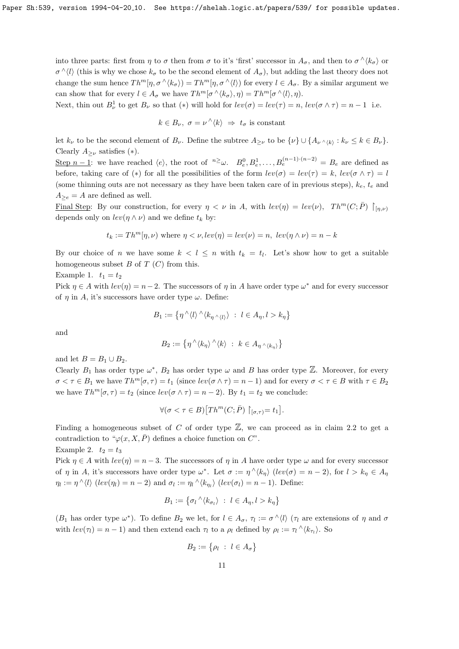into three parts: first from  $\eta$  to  $\sigma$  then from  $\sigma$  to it's 'first' successor in  $A_{\sigma}$ , and then to  $\sigma^{\wedge}\langle k_{\sigma}\rangle$  or  $\sigma^{\wedge}\langle l\rangle$  (this is why we chose  $k_{\sigma}$  to be the second element of  $A_{\sigma}$ ), but adding the last theory does not change the sum hence  $Th^m[\eta, \sigma^{\wedge} \langle k_{\sigma} \rangle) = Th^m[\eta, \sigma^{\wedge} \langle l \rangle)$  for every  $l \in A_{\sigma}$ . By a similar argument we can show that for every  $l \in A_{\sigma}$  we have  $Th^{m}[\sigma \wedge \langle k_{\sigma} \rangle, \eta) = Th^{m}[\sigma \wedge \langle l \rangle, \eta)$ .

Next, thin out  $B^1_\nu$  to get  $B_\nu$  so that  $(*)$  will hold for  $lev(\sigma) = lev(\tau) = n$ ,  $lev(\sigma \wedge \tau) = n - 1$  i.e.

$$
k \in B_{\nu}, \ \sigma = \nu^{\wedge} \langle k \rangle \ \Rightarrow \ t_{\sigma} \text{ is constant}
$$

let  $k_{\nu}$  to be the second element of  $B_{\nu}$ . Define the subtree  $A_{\geq \nu}$  to be  $\{\nu\} \cup \{A_{\nu \wedge \langle k \rangle} : k_{\nu} \leq k \in B_{\nu}\}.$ Clearly  $A_{\geq \nu}$  satisfies (\*).

Step  $n-1$ : we have reached  $\langle e \rangle$ , the root of  $n \geq \omega$ .  $B_e^0, B_e^1, \ldots, B_e^{(n-1)\cdot(n-2)} = B_e$  are defined as before, taking care of (\*) for all the possibilities of the form  $lev(\sigma) = lev(\tau) = k$ ,  $lev(\sigma \wedge \tau) = l$ (some thinning outs are not necessary as they have been taken care of in previous steps),  $k_e$ ,  $t_e$  and  $A_{\geq e} = A$  are defined as well.

Final Step: By our construction, for every  $\eta < \nu$  in A, with  $lev(\eta) = lev(\nu)$ ,  $Th^m(C; \overline{P}) \mid_{(n,\nu)}$ depends only on  $lev(\eta \wedge \nu)$  and we define  $t_k$  by:

$$
t_k := Th^m[\eta, \nu)
$$
 where  $\eta < \nu$ ,  $lev(\eta) = lev(\nu) = n$ ,  $lev(\eta \wedge \nu) = n - k$ 

By our choice of n we have some  $k < l \leq n$  with  $t_k = t_l$ . Let's show how to get a suitable homogeneous subset  $B$  of  $T(C)$  from this.

Example 1.  $t_1 = t_2$ 

Pick  $\eta \in A$  with  $lev(\eta) = n-2$ . The successors of  $\eta$  in A have order type  $\omega^*$  and for every successor of  $\eta$  in A, it's successors have order type  $\omega$ . Define:

$$
B_1 := \left\{ \eta^{\wedge} \langle l \rangle^{\wedge} \langle k_{\eta^{\wedge} \langle l \rangle} \rangle \ : \ l \in A_{\eta}, l > k_{\eta} \right\}
$$

and

$$
B_2 := \left\{ \eta^{\,\wedge}\langle k_\eta \rangle^{\,\wedge}\langle k \rangle \ : \ k \in A_{\eta^{\,\wedge}\langle k_\eta \rangle} \right\}
$$

and let  $B = B_1 \cup B_2$ .

Clearly  $B_1$  has order type  $\omega^*$ ,  $B_2$  has order type  $\omega$  and B has order type  $\mathbb{Z}$ . Moreover, for every  $\sigma < \tau \in B_1$  we have  $Th^m[\sigma, \tau) = t_1$  (since  $lev(\sigma \wedge \tau) = n - 1$ ) and for every  $\sigma < \tau \in B$  with  $\tau \in B_2$ we have  $Th^m[\sigma, \tau] = t_2$  (since  $lev(\sigma \wedge \tau) = n - 2$ ). By  $t_1 = t_2$  we conclude:

$$
\forall (\sigma < \tau \in B) \big[ Th^m(C; \bar{P}) \restriction_{[\sigma, \tau)} = t_1 \big].
$$

Finding a homogeneous subset of C of order type  $\mathbb{Z}$ , we can proceed as in claim 2.2 to get a contradiction to " $\varphi(x, X, \overline{P})$  defines a choice function on C". Example 2.  $t_2 = t_3$ 

Pick  $\eta \in A$  with  $lev(\eta) = n-3$ . The successors of  $\eta$  in A have order type  $\omega$  and for every successor of  $\eta$  in A, it's successors have order type  $\omega^*$ . Let  $\sigma := \eta^{\wedge} \langle k_{\eta} \rangle$  (lev( $\sigma$ ) =  $n - 2$ ), for  $l > k_{\eta} \in A_{\eta}$  $\eta_l := \eta^\wedge \langle l \rangle$  (lev( $\eta_l$ ) = n - 2) and  $\sigma_l := \eta_l^\wedge \langle k_{\eta_l} \rangle$  (lev( $\sigma_l$ ) = n - 1). Define:

$$
B_1 := \left\{ \sigma_l \wedge \langle k_{\sigma_l} \rangle \ : \ l \in A_\eta, l > k_\eta \right\}
$$

 $(B_1 \text{ has order type } \omega^*$ ). To define  $B_2$  we let, for  $l \in A_\sigma$ ,  $\tau_l := \sigma \wedge \langle l \rangle$  ( $\tau_l$  are extensions of  $\eta$  and  $\sigma$ with  $lev(\tau_l) = n - 1$ ) and then extend each  $\tau_l$  to a  $\rho_l$  defined by  $\rho_l := \tau_l \wedge \langle k_{\tau_l} \rangle$ . So

$$
B_2 := \{ \rho_l \ : \ l \in A_{\sigma} \}
$$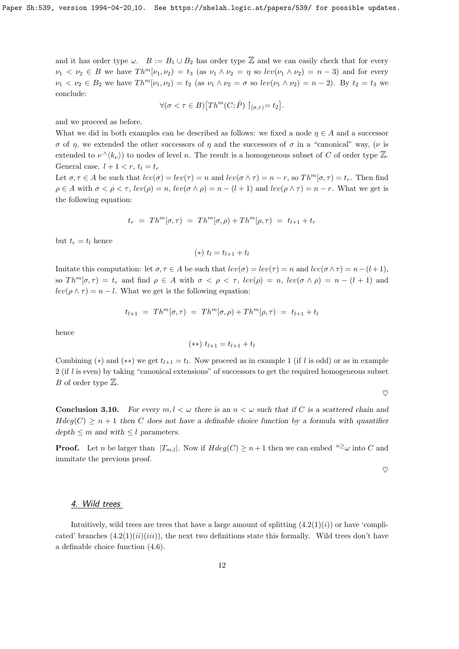and it has order type  $\omega$ .  $B := B_1 \cup B_2$  has order type  $\mathbb Z$  and we can easily check that for every  $\nu_1 < \nu_2 \in B$  we have  $Th^m[\nu_1, \nu_2] = t_3$  (as  $\nu_1 \wedge \nu_2 = \eta$  so  $lev(\nu_1 \wedge \nu_2) = n-3$ ) and for every  $\nu_1 < \nu_2 \in B_2$  we have  $Th^m[\nu_1, \nu_2] = t_2$  (as  $\nu_1 \wedge \nu_2 = \sigma$  so  $lev(\nu_1 \wedge \nu_2) = n - 2$ ). By  $t_2 = t_3$  we conclude:

$$
\forall (\sigma < \tau \in B) \big[ Th^m(C; \bar{P}) \upharpoonright_{[\sigma, \tau)} = t_2 \big].
$$

and we proceed as before.

What we did in both examples can be described as follows: we fixed a node  $\eta \in A$  and a successor σ of η, we extended the other successors of η and the successors of σ in a "canonical" way, (ν is extended to  $\nu^{\wedge}\langle k_{\nu}\rangle$  to nodes of level n. The result is a homogeneous subset of C of order type  $\mathbb{Z}$ . General case.  $l + 1 < r$ ,  $t_l = t_r$ 

Let  $\sigma, \tau \in A$  be such that  $lev(\sigma) = lev(\tau) = n$  and  $lev(\sigma \wedge \tau) = n - r$ , so  $Th^m[\sigma, \tau) = t_r$ . Then find  $\rho \in A$  with  $\sigma < \rho < \tau$ ,  $lev(\rho) = n$ ,  $lev(\sigma \wedge \rho) = n - (l + 1)$  and  $lev(\rho \wedge \tau) = n - r$ . What we get is the following equation:

$$
t_r = Th^m[\sigma, \tau) = Th^m[\sigma, \rho) + Th^m[\rho, \tau) = t_{l+1} + t_r
$$

but  $t_r = t_l$  hence

$$
(*) t_l = t_{l+1} + t_l
$$

Imitate this computation: let  $\sigma, \tau \in A$  be such that  $lev(\sigma) = lev(\tau) = n$  and  $lev(\sigma \wedge \tau) = n-(l+1)$ , so  $Th^m[\sigma, \tau] = t_r$  and find  $\rho \in A$  with  $\sigma < \rho < \tau$ ,  $lev(\rho) = n$ ,  $lev(\sigma \wedge \rho) = n - (l + 1)$  and  $lev(\rho \wedge \tau) = n - l$ . What we get is the following equation:

$$
t_{l+1} = Th^m[\sigma, \tau) = Th^m[\sigma, \rho) + Th^m[\rho, \tau) = t_{l+1} + t_l
$$

hence

$$
(**) t_{l+1} = t_{l+1} + t_l
$$

Combining (\*) and (\*\*) we get  $t_{l+1} = t_l$ . Now proceed as in example 1 (if l is odd) or as in example  $2$  (if l is even) by taking "canonical extensions" of successors to get the required homogeneous subset *B* of order type  $\mathbb{Z}$ .

 $\heartsuit$ 

**Conclusion 3.10.** For every  $m, l < \omega$  there is an  $n < \omega$  such that if C is a scattered chain and  $Hdeg(C) \geq n+1$  then C does not have a definable choice function by a formula with quantifier  $depth \leq m$  and with  $\leq l$  parameters.

**Proof.** Let n be larger than  $|T_{m,l}|$ . Now if  $Hdeg(C) \geq n+1$  then we can embed  $n \geq \omega$  into C and immitate the previous proof.

 $\heartsuit$ 

#### 4. Wild trees

Intuitively, wild trees are trees that have a large amount of splitting  $(4.2(1)(i))$  or have 'complicated' branches  $(4.2(1)(ii)(iii))$ , the next two definitions state this formally. Wild trees don't have a definable choice function (4.6).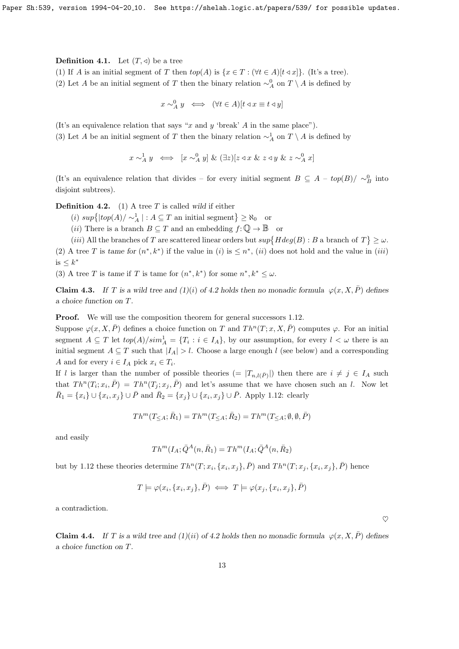**Definition 4.1.** Let  $(T, \triangleleft)$  be a tree

- (1) If A is an initial segment of T then  $top(A)$  is  $\{x \in T : (\forall t \in A)[t \triangleleft x]\}\)$ . (It's a tree).
- (2) Let A be an initial segment of T then the binary relation  $\sim_A^0$  on  $T \setminus A$  is defined by

$$
x \sim_A^0 y \iff (\forall t \in A)[t \triangleleft x \equiv t \triangleleft y]
$$

(It's an equivalence relation that says "x and y 'break' A in the same place").

(3) Let A be an initial segment of T then the binary relation  $\sim_A^1$  on  $T \setminus A$  is defined by

 $x \sim_A^1 y \iff [x \sim_A^0 y] \& (\exists z)[z \triangleleft x \& z \triangleleft y \& z \sim_A^0 x]$ 

(It's an equivalence relation that divides – for every initial segment  $B \subseteq A - top(B)/\sim_B^0$  into disjoint subtrees).

**Definition 4.2.** (1) A tree  $T$  is called wild if either

(*i*)  $\sup\{|top(A)| \sim_A^1 | : A \subseteq T \text{ an initial segment}\}\geq \aleph_0$  or

(ii) There is a branch  $B \subseteq T$  and an embedding  $f: \mathbb{Q} \to \mathbb{B}$  or

(*iii*) All the branches of T are scattered linear orders but  $sup\{Hdeg(B): B \text{ a branch of } T\} \geq \omega$ . (2) A tree T is tame for  $(n^*, k^*)$  if the value in (i) is  $\leq n^*$ , (ii) does not hold and the value in (iii) is  $\leq k^*$ 

(3) A tree T is tame if T is tame for  $(n^*, k^*)$  for some  $n^*, k^* \leq \omega$ .

**Claim 4.3.** If T is a wild tree and  $(1)(i)$  of 4.2 holds then no monadic formula  $\varphi(x, X, \overline{P})$  defines a choice function on T.

**Proof.** We will use the composition theorem for general successors 1.12.

Suppose  $\varphi(x, X, \overline{P})$  defines a choice function on T and  $Th^n(T; x, X, \overline{P})$  computes  $\varphi$ . For an initial segment  $A \subseteq T$  let  $top(A)/sim_A^1 = \{T_i : i \in I_A\}$ , by our assumption, for every  $l < \omega$  there is an initial segment  $A \subseteq T$  such that  $|I_A| > l$ . Choose a large enough l (see below) and a corresponding A and for every  $i \in I_A$  pick  $x_i \in T_i$ .

If l is larger than the number of possible theories  $(= |T_{n,l(\bar{P})}|)$  then there are  $i \neq j \in I_A$  such that  $Th^{n}(T_{i};x_{i},\bar{P}) = Th^{n}(T_{j};x_{j},\bar{P})$  and let's assume that we have chosen such an l. Now let  $\bar{R}_1 = \{x_i\} \cup \{x_i, x_j\} \cup \bar{P}$  and  $\bar{R}_2 = \{x_j\} \cup \{x_i, x_j\} \cup \bar{P}$ . Apply 1.12: clearly

$$
Th^m(T_{\leq A}; \bar{R}_1) = Th^m(T_{\leq A}; \bar{R}_2) = Th^m(T_{\leq A}; \emptyset, \emptyset, \bar{P})
$$

and easily

$$
Th^{m}(I_{A}; \bar{Q}^{A}(n, \bar{R}_{1}) = Th^{m}(I_{A}; \bar{Q}^{A}(n, \bar{R}_{2}))
$$

but by 1.12 these theories determine  $Th^n(T; x_i, \{x_i, x_j\}, \overline{P})$  and  $Th^n(T; x_j, \{x_i, x_j\}, \overline{P})$  hence

$$
T \models \varphi(x_i, \{x_i, x_j\}, \bar{P}) \iff T \models \varphi(x_j, \{x_i, x_j\}, \bar{P})
$$

a contradiction.

**Claim 4.4.** If T is a wild tree and  $(1)(ii)$  of 4.2 holds then no monadic formula  $\varphi(x, X, \overline{P})$  defines a choice function on T.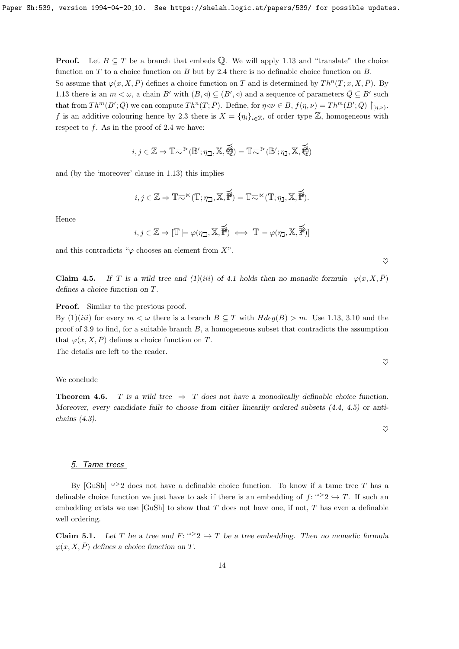**Proof.** Let  $B \subseteq T$  be a branch that embeds  $\mathbb{Q}$ . We will apply 1.13 and "translate" the choice function on  $T$  to a choice function on  $B$  but by 2.4 there is no definable choice function on  $B$ . So assume that  $\varphi(x, X, \overline{P})$  defines a choice function on T and is determined by  $Th^n(T; x, X, \overline{P})$ . By 1.13 there is an  $m < \omega$ , a chain B' with  $(B, \triangleleft) \subseteq (B', \triangleleft)$  and a sequence of parameters  $\overline{Q} \subseteq B'$  such that from  $Th^m(B';\overline{Q})$  we can compute  $Th^n(T;\overline{P})$ . Define, for  $\eta \triangleleft \nu \in B$ ,  $f(\eta,\nu) = Th^m(B';\overline{Q}) \upharpoonright_{[\eta,\nu)}$ . f is an additive colouring hence by 2.3 there is  $X = \{\eta_i\}_{i\in\mathbb{Z}}$ , of order type  $\mathbb{Z}$ , homogeneous with respect to  $f$ . As in the proof of 2.4 we have:

$$
i,j\in\mathbb{Z}\Rightarrow\mathbb{T}\textup{h}^>(\mathbb{B}';\eta_{\beth},\mathbb{X},\overline{\bigoplus})=\mathbb{T}\textup{h}^>(\mathbb{B}';\eta_{\beth},\mathbb{X},\overline{\bigoplus})
$$

and (by the 'moreover' clause in 1.13) this implies

$$
i,j\in\mathbb{Z}\Rightarrow\mathbb{T}\text{-}\!\!\!\!\sim^\ltimes(\mathbb{T};\eta_\beth,\mathbb{X},\overrightarrow{\text{\tt\#}})=\mathbb{T}\text{-}\!\!\!\sim^\ltimes(\mathbb{T};\eta_\beth,\mathbb{X},\overrightarrow{\text{\tt\#}}).
$$

Hence

$$
i, j \in \mathbb{Z} \Rightarrow [\mathbb{T} \models \varphi(\eta_{\mathbb{Z}}, \mathbb{X}, \overrightarrow{\mathbb{P}}) \iff \mathbb{T} \models \varphi(\eta_{\mathbb{Z}}, \mathbb{X}, \overrightarrow{\mathbb{P}})]
$$

 $\heartsuit$ 

 $\heartsuit$ 

 $\heartsuit$ 

and this contradicts " $\varphi$  chooses an element from X".

**Claim 4.5.** If T is a wild tree and (1)(iii) of 4.1 holds then no monadic formula  $\varphi(x, X, \overline{P})$ defines a choice function on T.

**Proof.** Similar to the previous proof.

By  $(1)(iii)$  for every  $m < \omega$  there is a branch  $B \subseteq T$  with  $Hdeg(B) > m$ . Use 1.13, 3.10 and the proof of 3.9 to find, for a suitable branch  $B$ , a homogeneous subset that contradicts the assumption that  $\varphi(x, X, \overline{P})$  defines a choice function on T.

The details are left to the reader.

We conclude

**Theorem 4.6.** T is a wild tree  $\Rightarrow$  T does not have a monadically definable choice function. Moreover, every candidate fails to choose from either linearily ordered subsets (4.4, 4.5) or antichains (4.3).

# 5. Tame trees

By [GuSh]  $\omega > 2$  does not have a definable choice function. To know if a tame tree T has a definable choice function we just have to ask if there is an embedding of  $f: \omega > 2 \rightarrow T$ . If such an embedding exists we use  $[GuSh]$  to show that T does not have one, if not, T has even a definable well ordering.

**Claim 5.1.** Let T be a tree and  $F: \omega > 2 \hookrightarrow T$  be a tree embedding. Then no monadic formula  $\varphi(x, X, \overline{P})$  defines a choice function on T.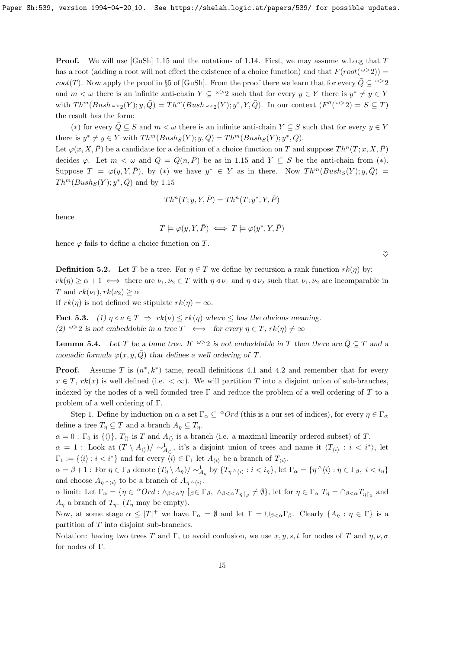**Proof.** We will use [GuSh] 1.15 and the notations of 1.14. First, we may assume w.l.o.g that T has a root (adding a root will not effect the existence of a choice function) and that  $F(root(\omega > 2))$ root(T). Now apply the proof in §5 of [GuSh]. From the proof there we learn that for every  $\overline{Q} \subseteq \omega > 2$ and  $m < \omega$  there is an infinite anti-chain  $Y \subseteq \omega > 2$  such that for every  $y \in Y$  there is  $y^* \neq y \in Y$ with  $Th^m(Bush \cup z_2(Y); y, \overline{Q}) = Th^m(Bush \cup z_2(Y); y^*, Y, \overline{Q})$ . In our context  $(F''({}^{\omega >}2) = S \subseteq T)$ the result has the form:

(\*) for every  $\overline{Q} \subseteq S$  and  $m < \omega$  there is an infinite anti-chain  $Y \subseteq S$  such that for every  $y \in Y$ there is  $y^* \neq y \in Y$  with  $Th^m(Bush_S(Y); y, \overline{Q}) = Th^m(Bush_S(Y); y^*, \overline{Q})$ .

Let  $\varphi(x, X, \overline{P})$  be a candidate for a definition of a choice function on T and suppose  $Th^n(T; x, X, \overline{P})$ decides  $\varphi$ . Let  $m < \omega$  and  $\overline{Q} = \overline{Q}(n, \overline{P})$  be as in 1.15 and  $Y \subseteq S$  be the anti-chain from  $(*)$ . Suppose  $T \models \varphi(y, Y, \overline{P})$ , by (\*) we have  $y^* \in Y$  as in there. Now  $Th^m(Bush_S(Y); y, \overline{Q}) =$  $Th^m(Bush_S(Y); y^*, \overline{Q})$  and by 1.15

$$
Th^n(T; y, Y, \overline{P}) = Th^n(T; y^*, Y, \overline{P})
$$

hence

$$
T \models \varphi(y, Y, \bar{P}) \iff T \models \varphi(y^*, Y, \bar{P})
$$

 $\heartsuit$ 

hence  $\varphi$  fails to define a choice function on T.

**Definition 5.2.** Let T be a tree. For  $\eta \in T$  we define by recursion a rank function  $rk(\eta)$  by:  $rk(\eta) \ge \alpha + 1 \iff \text{there are } \nu_1, \nu_2 \in T \text{ with } \eta \le \nu_1 \text{ and } \eta \le \nu_2 \text{ such that } \nu_1, \nu_2 \text{ are incomparable in }$ T and  $rk(\nu_1), rk(\nu_2) > \alpha$ 

If  $rk(\eta)$  is not defined we stipulate  $rk(\eta) = \infty$ .

Fact 5.3. (1)  $\eta \triangleleft \nu \in T \implies rk(\nu) \leq rk(\eta)$  where  $\leq$  has the obvious meaning. (2)  $\omega > 2$  is not embeddable in a tree  $T \iff$  for every  $\eta \in T$ ,  $rk(\eta) \neq \infty$ 

**Lemma 5.4.** Let T be a tame tree. If  $\omega > 2$  is not embeddable in T then there are  $\overline{Q} \subseteq T$  and a monadic formula  $\varphi(x, y, \overline{Q})$  that defines a well ordering of T.

**Proof.** Assume T is  $(n^*, k^*)$  tame, recall definitions 4.1 and 4.2 and remember that for every  $x \in T$ ,  $rk(x)$  is well defined (i.e.  $\langle \infty \rangle$ ). We will partition T into a disjoint union of sub-branches, indexed by the nodes of a well founded tree  $\Gamma$  and reduce the problem of a well ordering of T to a problem of a well ordering of Γ.

Step 1. Define by induction on  $\alpha$  a set  $\Gamma_{\alpha} \subseteq {}^{\alpha}Ord$  (this is a our set of indices), for every  $\eta \in \Gamma_{\alpha}$ define a tree  $T_n \subseteq T$  and a branch  $A_n \subseteq T_n$ .

 $\alpha = 0$ :  $\Gamma_0$  is  $\{\langle \rangle\}, T_{\langle \rangle}$  is T and  $A_{\langle \rangle}$  is a branch (i.e. a maximal linearily ordered subset) of T.

 $\alpha = 1$ : Look at  $(T \setminus A_{\langle\rangle}) / \sim^1_{A_{\langle\rangle}},$  it's a disjoint union of trees and name it  $\langle T_{\langle i \rangle} : i \langle i^* \rangle$ , let  $\Gamma_1 := \{ \langle i \rangle : i < i^* \}$  and for every  $\langle i \rangle \in \Gamma_1$  let  $A_{\langle i \rangle}$  be a branch of  $T_{\langle i \rangle}$ .

 $\alpha = \beta + 1$ : For  $\eta \in \Gamma_{\beta}$  denote  $(T_{\eta} \setminus A_{\eta}) / \sim_{A_{\eta}}^{1}$  by  $\{T_{\eta} \wedge \langle i \rangle : i \langle i_{\eta} \}$ , let  $\Gamma_{\alpha} = \{\eta \wedge \langle i \rangle : \eta \in \Gamma_{\beta}, i \langle i_{\eta} \rangle\}$ and choose  $A_{\eta \wedge \langle i \rangle}$  to be a branch of  $A_{\eta \wedge \langle i \rangle}$ .

 $\alpha$  limit: Let  $\Gamma_{\alpha} = \{ \eta \in {}^{\alpha}Ord : \wedge_{\beta<\alpha} \eta \upharpoonright_{\beta} \in \Gamma_{\beta}, \ \wedge_{\beta<\alpha} T_{\eta \upharpoonright_{\beta}} \neq \emptyset \}$ , let for  $\eta \in \Gamma_{\alpha}$   $T_{\eta} = \cap_{\beta<\alpha} T_{\eta \upharpoonright_{\beta}}$  and  $A_n$  a branch of  $T_n$ . ( $T_n$  may be empty).

Now, at some stage  $\alpha \leq |T|^+$  we have  $\Gamma_{\alpha} = \emptyset$  and let  $\Gamma = \bigcup_{\beta < \alpha} \Gamma_{\beta}$ . Clearly  $\{A_{\eta} : \eta \in \Gamma\}$  is a partition of T into disjoint sub-branches.

Notation: having two trees T and Γ, to avoid confusion, we use  $x, y, s, t$  for nodes of T and  $\eta, \nu, \sigma$ for nodes of Γ.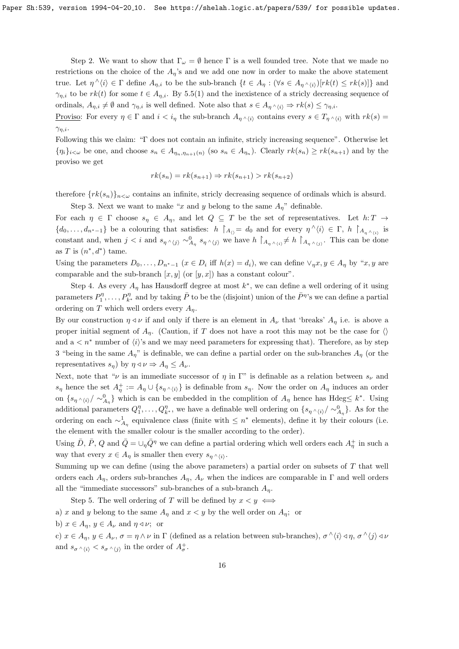Step 2. We want to show that  $\Gamma_{\omega} = \emptyset$  hence  $\Gamma$  is a well founded tree. Note that we made no restrictions on the choice of the  $A_n$ 's and we add one now in order to make the above statement true. Let  $\eta \wedge \langle i \rangle \in \Gamma$  define  $A_{\eta,i}$  to be the sub-branch  $\{t \in A_{\eta} : (\forall s \in A_{\eta \wedge \langle i \rangle})[rk(t) \leq rk(s)]\}$  and  $\gamma_{\eta,i}$  to be  $rk(t)$  for some  $t \in A_{\eta,i}$ . By 5.5(1) and the inexistence of a stricly decreasing sequence of ordinals,  $A_{\eta,i} \neq \emptyset$  and  $\gamma_{\eta,i}$  is well defined. Note also that  $s \in A_{\eta} \wedge_{\{i\}} \Rightarrow rk(s) \leq \gamma_{\eta,i}$ .

Proviso: For every  $\eta \in \Gamma$  and  $i < i<sub>n</sub>$  the sub-branch  $A_{\eta \wedge \langle i \rangle}$  contains every  $s \in T_{\eta \wedge \langle i \rangle}$  with  $rk(s)$  $\gamma_{\eta,i}$ .

Following this we claim: "Γ does not contain an infinite, stricly increasing sequence". Otherwise let  $\{\eta_i\}_{i\leq\omega}$  be one, and choose  $s_n\in A_{\eta_n,\eta_{n+1}(n)}$  (so  $s_n\in A_{\eta_n}$ ). Clearly  $rk(s_n)\geq rk(s_{n+1})$  and by the proviso we get

$$
rk(s_n) = rk(s_{n+1}) \Rightarrow rk(s_{n+1}) > rk(s_{n+2})
$$

therefore  $\{rk(s_n)\}_{n\leq\omega}$  contains an infinite, strictly decreasing sequence of ordinals which is absurd.

Step 3. Next we want to make "x and y belong to the same  $A_{\eta}$ " definable.

For each  $\eta \in \Gamma$  choose  $s_{\eta} \in A_{\eta}$ , and let  $Q \subseteq T$  be the set of representatives. Let  $h: T \to$  $\{d_0,\ldots,d_{n^*-1}\}\$  be a colouring that satisfies:  $h \restriction_{A_{\langle\rangle}} = d_0$  and for every  $\eta^{\wedge}\langle i \rangle \in \Gamma$ ,  $h \restriction_{A_{\eta^{\wedge}\langle i \rangle}}$  is constant and, when  $j < i$  and  $s_{\eta} \wedge \langle j \rangle \sim_{A_{\eta}}^0 s_{\eta} \wedge \langle j \rangle$  we have  $h \upharpoonright_{A_{\eta} \wedge \langle i \rangle} \neq h \upharpoonright_{A_{\eta} \wedge \langle j \rangle}$ . This can be done as T is  $(n^*, d^*)$  tame.

Using the parameters  $D_0, \ldots, D_{n^*-1}$   $(x \in D_i \text{ iff } h(x) = d_i)$ , we can define  $\vee_{\eta} x, y \in A_{\eta}$  by " $x, y$  are comparable and the sub-branch  $[x, y]$  (or  $[y, x]$ ) has a constant colour".

Step 4. As every  $A_{\eta}$  has Hausdorff degree at most  $k^*$ , we can define a well ordering of it using parameters  $P_1^{\eta}, \ldots, P_{k^*}^{\eta}$  and by taking  $\bar{P}$  to be the (disjoint) union of the  $\bar{P}^{\eta}$ 's we can define a partial ordering on T which well orders every  $A_n$ .

By our construction  $\eta \triangleleft \nu$  if and only if there is an element in  $A_{\nu}$  that 'breaks'  $A_{\eta}$  i.e. is above a proper initial segment of  $A_n$ . (Caution, if T does not have a root this may not be the case for  $\langle \rangle$ and  $a < n^*$  number of  $\langle i \rangle$ 's and we may need parameters for expressing that). Therefore, as by step 3 "being in the same  $A_n$ " is definable, we can define a partial order on the sub-branches  $A_n$  (or the representatives  $s_{\eta}$ ) by  $\eta \triangleleft \nu \Rightarrow A_{\eta} \leq A_{\nu}$ .

Next, note that " $\nu$  is an immediate successor of  $\eta$  in  $\Gamma$ " is definable as a relation between  $s_{\nu}$  and  $s_\eta$  hence the set  $A^+_\eta := A_\eta \cup \{s_{\eta} \wedge \langle i \rangle\}$  is definable from  $s_\eta$ . Now the order on  $A_\eta$  induces an order on  $\{s_{\eta} \wedge \langle i \rangle / \sim_{A_{\eta}}^0\}$  which is can be embedded in the complition of  $A_{\eta}$  hence has Hdeg≤  $k^*$ . Using additional parameters  $Q_1^{\eta}, \ldots, Q_{k^*}^{\eta}$ , we have a definable well ordering on  $\{s_{\eta} \wedge \langle i \rangle / \sim_{A_{\eta}}^0\}$ . As for the ordering on each  $\sim_{A_{\eta}}^1$  equivalence class (finite with ≤ n<sup>\*</sup> elements), define it by their colours (i.e. the element with the smaller colour is the smaller according to the order).

Using  $\bar{D}$ ,  $\bar{P}$ , Q and  $\bar{Q} = \cup_{\eta} \bar{Q}^{\eta}$  we can define a partial ordering which well orders each  $A_{\eta}^+$  in such a way that every  $x \in A_{\eta}$  is smaller then every  $s_{\eta} \wedge \langle i \rangle$ .

Summing up we can define (using the above parameters) a partial order on subsets of  $T$  that well orders each  $A_n$ , orders sub-branches  $A_n$ ,  $A_\nu$  when the indices are comparable in Γ and well orders all the "immediate successors" sub-branches of a sub-branch  $A_n$ .

Step 5. The well ordering of T will be defined by  $x < y \iff$ a) x and y belong to the same  $A_{\eta}$  and  $x < y$  by the well order on  $A_{\eta}$ ; or

b)  $x \in A_n$ ,  $y \in A_\nu$  and  $\eta \triangleleft \nu$ ; or

c)  $x \in A_\eta, y \in A_\nu, \sigma = \eta \wedge \nu$  in  $\Gamma$  (defined as a relation between sub-branches),  $\sigma \wedge \langle i \rangle \triangleleft \eta$ ,  $\sigma \wedge \langle j \rangle \triangleleft \nu$ and  $s_{\sigma} \wedge \langle i \rangle < s_{\sigma} \wedge \langle j \rangle$  in the order of  $A_{\sigma}^+$ .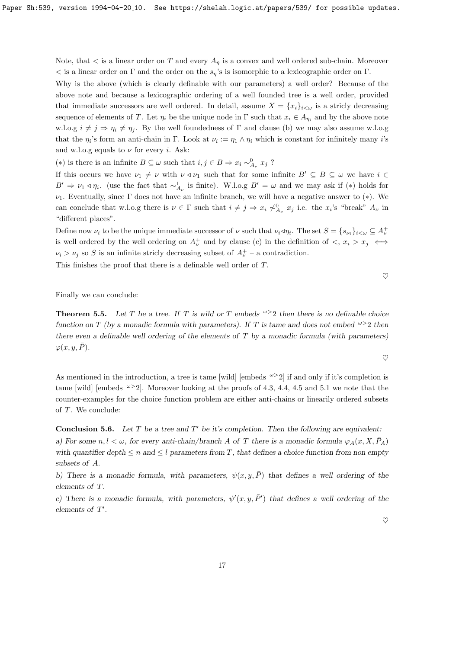Note, that  $\lt$  is a linear order on T and every  $A_n$  is a convex and well ordered sub-chain. Moreover  $\langle$  is a linear order on Γ and the order on the  $s_n$ 's is isomorphic to a lexicographic order on Γ.

Why is the above (which is clearly definable with our parameters) a well order? Because of the above note and because a lexicographic ordering of a well founded tree is a well order, provided that immediate successors are well ordered. In detail, assume  $X = \{x_i\}_{i\lt\omega}$  is a stricly decreasing sequence of elements of T. Let  $\eta_i$  be the unique node in  $\Gamma$  such that  $x_i \in A_{\eta_i}$  and by the above note w.l.o.g  $i \neq j \Rightarrow \eta_i \neq \eta_j$ . By the well foundedness of  $\Gamma$  and clause (b) we may also assume w.l.o.g that the  $\eta_i$ 's form an anti-chain in Γ. Look at  $\nu_i := \eta_1 \wedge \eta_i$  which is constant for infinitely many *i*'s and w.l.o.g equals to  $\nu$  for every *i*. Ask:

(∗) is there is an infinite  $B \subseteq \omega$  such that  $i, j \in B \Rightarrow x_i \sim^0_{A_{\nu}} x_j$ ?

If this occurs we have  $\nu_1 \neq \nu$  with  $\nu \triangleleft \nu_1$  such that for some infinite  $B' \subseteq B \subseteq \omega$  we have  $i \in$  $B' \Rightarrow \nu_1 \triangleleft \eta_i$ . (use the fact that  $\sim_{A_{\nu}}^1$  is finite). W.l.o.g  $B' = \omega$  and we may ask if  $(*)$  holds for ν1. Eventually, since Γ does not have an infinite branch, we will have a negative answer to (∗). We can conclude that w.l.o.g there is  $\nu \in \Gamma$  such that  $i \neq j \Rightarrow x_i \not\sim^0_{A_{\nu}} x_j$  i.e. the  $x_i$ 's "break"  $A_{\nu}$  in "different places".

Define now  $\nu_i$  to be the unique immediate successor of  $\nu$  such that  $\nu_i \triangleleft \eta_i$ . The set  $S = \{s_{\nu_i}\}_{i \in \omega} \subseteq A_{\nu}^+$ is well ordered by the well ordering on  $A^{\dagger}_{\nu}$  and by clause (c) in the definition of  $\langle x, x_i \rangle x_j \leftrightarrow$  $\nu_i > \nu_j$  so S is an infinite stricly decreasing subset of  $A^+_\nu$  – a contradiction.

This finishes the proof that there is a definable well order of T.

Finally we can conclude:

**Theorem 5.5.** Let T be a tree. If T is wild or T embeds  $\omega > 2$  then there is no definable choice function on T (by a monadic formula with parameters). If T is tame and does not embed  $\omega > 2$  then there even a definable well ordering of the elements of  $T$  by a monadic formula (with parameters)  $\varphi(x, y, \bar{P}).$ 

As mentioned in the introduction, a tree is tame [wild] [embeds  $\omega > 2$ ] if and only if it's completion is tame [wild] [embeds  $\omega > 2$ ]. Moreover looking at the proofs of 4.3, 4.4, 4.5 and 5.1 we note that the counter-examples for the choice function problem are either anti-chains or linearily ordered subsets of T. We conclude:

**Conclusion 5.6.** Let  $T$  be a tree and  $T'$  be it's completion. Then the following are equivalent: a) For some  $n, l < \omega$ , for every anti-chain/branch A of T there is a monadic formula  $\varphi_A(x, X, \overline{P}_A)$ with quantifier depth  $\leq n$  and  $\leq l$  parameters from T, that defines a choice function from non empty subsets of A.

b) There is a monadic formula, with parameters,  $\psi(x, y, \overline{P})$  that defines a well ordering of the elements of T.

c) There is a monadic formula, with parameters,  $\psi'(x, y, \bar{P}')$  that defines a well ordering of the elements of  $T'$ .

 $\heartsuit$ 

 $\heartsuit$